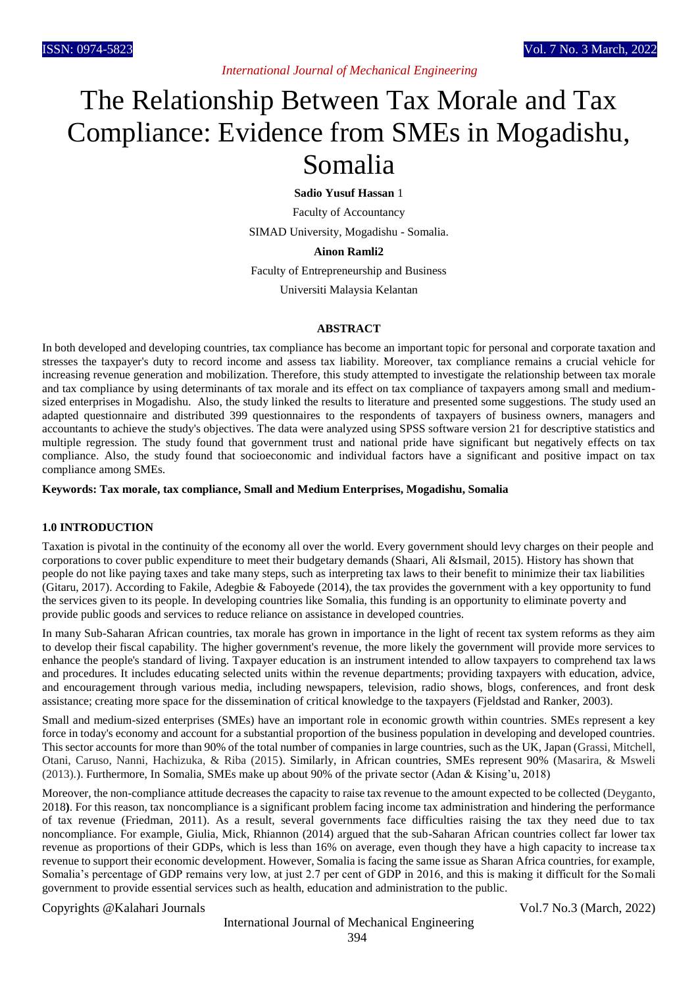# The Relationship Between Tax Morale and Tax Compliance: Evidence from SMEs in Mogadishu, Somalia

**Sadio Yusuf Hassan** 1

Faculty of Accountancy

SIMAD University, Mogadishu - Somalia.

**Ainon Ramli2**

Faculty of Entrepreneurship and Business

Universiti Malaysia Kelantan

### **ABSTRACT**

In both developed and developing countries, tax compliance has become an important topic for personal and corporate taxation and stresses the taxpayer's duty to record income and assess tax liability. Moreover, tax compliance remains a crucial vehicle for increasing revenue generation and mobilization. Therefore, this study attempted to investigate the relationship between tax morale and tax compliance by using determinants of tax morale and its effect on tax compliance of taxpayers among small and mediumsized enterprises in Mogadishu. Also, the study linked the results to literature and presented some suggestions. The study used an adapted questionnaire and distributed 399 questionnaires to the respondents of taxpayers of business owners, managers and accountants to achieve the study's objectives. The data were analyzed using SPSS software version 21 for descriptive statistics and multiple regression. The study found that government trust and national pride have significant but negatively effects on tax compliance. Also, the study found that socioeconomic and individual factors have a significant and positive impact on tax compliance among SMEs.

### **Keywords: Tax morale, tax compliance, Small and Medium Enterprises, Mogadishu, Somalia**

### **1.0 INTRODUCTION**

Taxation is pivotal in the continuity of the economy all over the world. Every government should levy charges on their people and corporations to cover public expenditure to meet their budgetary demands (Shaari, Ali &Ismail, 2015). History has shown that people do not like paying taxes and take many steps, such as interpreting tax laws to their benefit to minimize their tax liabilities (Gitaru, 2017). According to Fakile, Adegbie & Faboyede (2014), the tax provides the government with a key opportunity to fund the services given to its people. In developing countries like Somalia, this funding is an opportunity to eliminate poverty and provide public goods and services to reduce reliance on assistance in developed countries.

In many Sub-Saharan African countries, tax morale has grown in importance in the light of recent tax system reforms as they aim to develop their fiscal capability. The higher government's revenue, the more likely the government will provide more services to enhance the people's standard of living. Taxpayer education is an instrument intended to allow taxpayers to comprehend tax laws and procedures. It includes educating selected units within the revenue departments; providing taxpayers with education, advice, and encouragement through various media, including newspapers, television, radio shows, blogs, conferences, and front desk assistance; creating more space for the dissemination of critical knowledge to the taxpayers (Fjeldstad and Ranker, 2003).

Small and medium-sized enterprises (SMEs) have an important role in economic growth within countries. SMEs represent a key force in today's economy and account for a substantial proportion of the business population in developing and developed countries. This sector accounts for more than 90% of the total number of companies in large countries, such as the UK, Japan (Grassi, Mitchell, Otani, Caruso, Nanni, Hachizuka, & Riba (2015). Similarly, in African countries, SMEs represent 90% (Masarira, & Msweli (2013).). Furthermore, In Somalia, SMEs make up about 90% of the private sector (Adan & Kising'u, 2018)

Moreover, the non-compliance attitude decreases the capacity to raise tax revenue to the amount expected to be collected (Deyganto, 2018**)**. For this reason, tax noncompliance is a significant problem facing income tax administration and hindering the performance of tax revenue (Friedman, 2011). As a result, several governments face difficulties raising the tax they need due to tax noncompliance. For example, Giulia, Mick, Rhiannon (2014) argued that the sub-Saharan African countries collect far lower tax revenue as proportions of their GDPs, which is less than 16% on average, even though they have a high capacity to increase tax revenue to support their economic development. However, Somalia is facing the same issue as Sharan Africa countries, for example, Somalia's percentage of GDP remains very low, at just 2.7 per cent of GDP in 2016, and this is making it difficult for the Somali government to provide essential services such as health, education and administration to the public.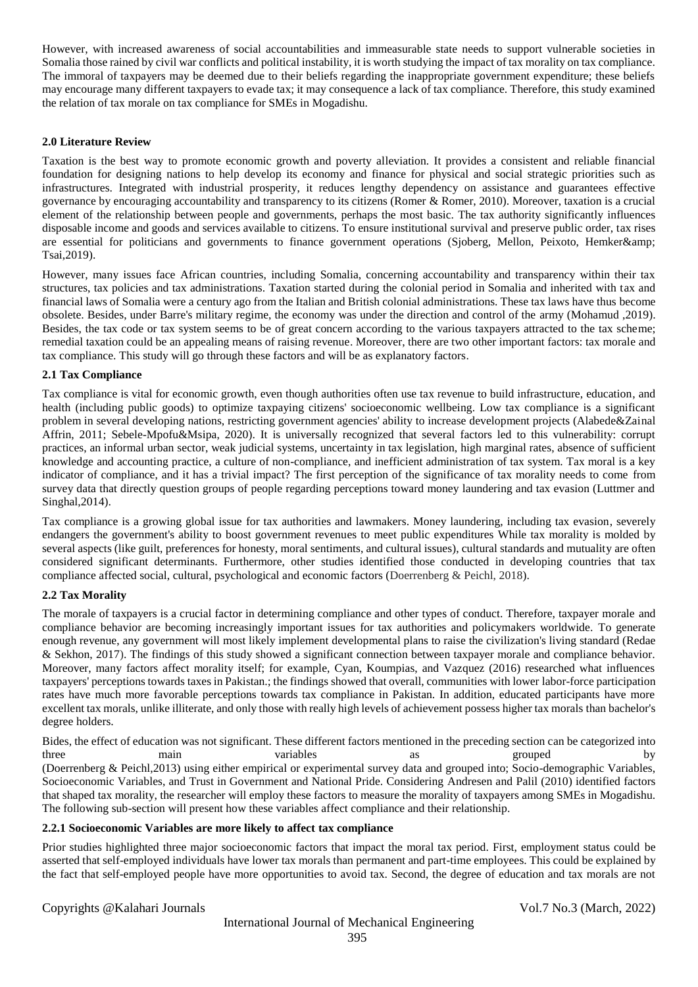However, with increased awareness of social accountabilities and immeasurable state needs to support vulnerable societies in Somalia those rained by civil war conflicts and political instability, it is worth studying the impact of tax morality on tax compliance. The immoral of taxpayers may be deemed due to their beliefs regarding the inappropriate government expenditure; these beliefs may encourage many different taxpayers to evade tax; it may consequence a lack of tax compliance. Therefore, this study examined the relation of tax morale on tax compliance for SMEs in Mogadishu.

### **2.0 Literature Review**

Taxation is the best way to promote economic growth and poverty alleviation. It provides a consistent and reliable financial foundation for designing nations to help develop its economy and finance for physical and social strategic priorities such as infrastructures. Integrated with industrial prosperity, it reduces lengthy dependency on assistance and guarantees effective governance by encouraging accountability and transparency to its citizens (Romer & Romer, 2010). Moreover, taxation is a crucial element of the relationship between people and governments, perhaps the most basic. The tax authority significantly influences disposable income and goods and services available to citizens. To ensure institutional survival and preserve public order, tax rises are essential for politicians and governments to finance government operations (Sjoberg, Mellon, Peixoto, Hemker& Tsai,2019).

However, many issues face African countries, including Somalia, concerning accountability and transparency within their tax structures, tax policies and tax administrations. Taxation started during the colonial period in Somalia and inherited with tax and financial laws of Somalia were a century ago from the Italian and British colonial administrations. These tax laws have thus become obsolete. Besides, under Barre's military regime, the economy was under the direction and control of the army (Mohamud ,2019). Besides, the tax code or tax system seems to be of great concern according to the various taxpayers attracted to the tax scheme; remedial taxation could be an appealing means of raising revenue. Moreover, there are two other important factors: tax morale and tax compliance. This study will go through these factors and will be as explanatory factors.

### **2.1 Tax Compliance**

Tax compliance is vital for economic growth, even though authorities often use tax revenue to build infrastructure, education, and health (including public goods) to optimize taxpaying citizens' socioeconomic wellbeing. Low tax compliance is a significant problem in several developing nations, restricting government agencies' ability to increase development projects (Alabede&Zainal Affrin, 2011; Sebele-Mpofu&Msipa, 2020). It is universally recognized that several factors led to this vulnerability: corrupt practices, an informal urban sector, weak judicial systems, uncertainty in tax legislation, high marginal rates, absence of sufficient knowledge and accounting practice, a culture of non-compliance, and inefficient administration of tax system. Tax moral is a key indicator of compliance, and it has a trivial impact? The first perception of the significance of tax morality needs to come from survey data that directly question groups of people regarding perceptions toward money laundering and tax evasion (Luttmer and Singhal,2014).

Tax compliance is a growing global issue for tax authorities and lawmakers. Money laundering, including tax evasion, severely endangers the government's ability to boost government revenues to meet public expenditures While tax morality is molded by several aspects (like guilt, preferences for honesty, moral sentiments, and cultural issues), cultural standards and mutuality are often considered significant determinants. Furthermore, other studies identified those conducted in developing countries that tax compliance affected social, cultural, psychological and economic factors (Doerrenberg & Peichl, 2018).

### **2.2 Tax Morality**

The morale of taxpayers is a crucial factor in determining compliance and other types of conduct. Therefore, taxpayer morale and compliance behavior are becoming increasingly important issues for tax authorities and policymakers worldwide. To generate enough revenue, any government will most likely implement developmental plans to raise the civilization's living standard (Redae & Sekhon, 2017). The findings of this study showed a significant connection between taxpayer morale and compliance behavior. Moreover, many factors affect morality itself; for example, Cyan, Koumpias, and Vazquez (2016) researched what influences taxpayers' perceptions towards taxes in Pakistan.; the findings showed that overall, communities with lower labor-force participation rates have much more favorable perceptions towards tax compliance in Pakistan. In addition, educated participants have more excellent tax morals, unlike illiterate, and only those with really high levels of achievement possess higher tax morals than bachelor's degree holders.

Bides, the effect of education was not significant. These different factors mentioned in the preceding section can be categorized into three main variables as grouped by (Doerrenberg & Peichl,2013) using either empirical or experimental survey data and grouped into; Socio-demographic Variables, Socioeconomic Variables, and Trust in Government and National Pride. Considering Andresen and Palil (2010) identified factors that shaped tax morality, the researcher will employ these factors to measure the morality of taxpayers among SMEs in Mogadishu. The following sub-section will present how these variables affect compliance and their relationship.

### **2.2.1 Socioeconomic Variables are more likely to affect tax compliance**

Prior studies highlighted three major socioeconomic factors that impact the moral tax period. First, employment status could be asserted that self-employed individuals have lower tax morals than permanent and part-time employees. This could be explained by the fact that self-employed people have more opportunities to avoid tax. Second, the degree of education and tax morals are not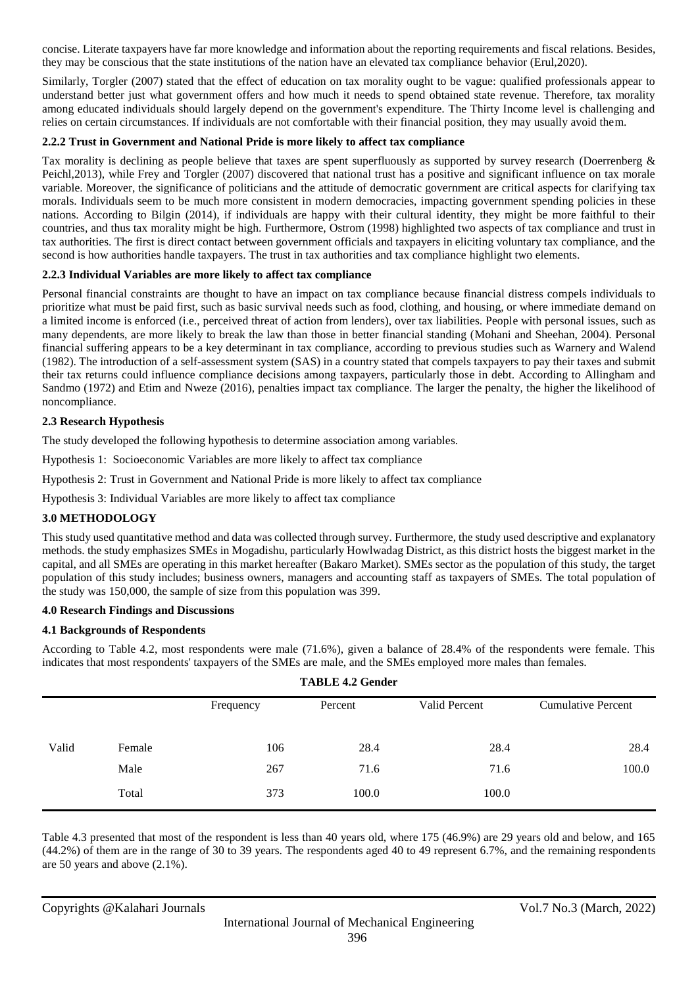concise. Literate taxpayers have far more knowledge and information about the reporting requirements and fiscal relations. Besides, they may be conscious that the state institutions of the nation have an elevated tax compliance behavior (Erul,2020).

Similarly, Torgler (2007) stated that the effect of education on tax morality ought to be vague: qualified professionals appear to understand better just what government offers and how much it needs to spend obtained state revenue. Therefore, tax morality among educated individuals should largely depend on the government's expenditure. The Thirty Income level is challenging and relies on certain circumstances. If individuals are not comfortable with their financial position, they may usually avoid them.

### **2.2.2 Trust in Government and National Pride is more likely to affect tax compliance**

Tax morality is declining as people believe that taxes are spent superfluously as supported by survey research (Doerrenberg & Peichl,2013), while Frey and Torgler (2007) discovered that national trust has a positive and significant influence on tax morale variable. Moreover, the significance of politicians and the attitude of democratic government are critical aspects for clarifying tax morals. Individuals seem to be much more consistent in modern democracies, impacting government spending policies in these nations. According to Bilgin (2014), if individuals are happy with their cultural identity, they might be more faithful to their countries, and thus tax morality might be high. Furthermore, Ostrom (1998) highlighted two aspects of tax compliance and trust in tax authorities. The first is direct contact between government officials and taxpayers in eliciting voluntary tax compliance, and the second is how authorities handle taxpayers. The trust in tax authorities and tax compliance highlight two elements.

### **2.2.3 Individual Variables are more likely to affect tax compliance**

Personal financial constraints are thought to have an impact on tax compliance because financial distress compels individuals to prioritize what must be paid first, such as basic survival needs such as food, clothing, and housing, or where immediate demand on a limited income is enforced (i.e., perceived threat of action from lenders), over tax liabilities. People with personal issues, such as many dependents, are more likely to break the law than those in better financial standing (Mohani and Sheehan, 2004). Personal financial suffering appears to be a key determinant in tax compliance, according to previous studies such as Warnery and Walend (1982). The introduction of a self-assessment system (SAS) in a country stated that compels taxpayers to pay their taxes and submit their tax returns could influence compliance decisions among taxpayers, particularly those in debt. According to Allingham and Sandmo (1972) and Etim and Nweze (2016), penalties impact tax compliance. The larger the penalty, the higher the likelihood of noncompliance.

### **2.3 Research Hypothesis**

The study developed the following hypothesis to determine association among variables.

Hypothesis 1: Socioeconomic Variables are more likely to affect tax compliance

Hypothesis 2: Trust in Government and National Pride is more likely to affect tax compliance

Hypothesis 3: Individual Variables are more likely to affect tax compliance

### **3.0 METHODOLOGY**

This study used quantitative method and data was collected through survey. Furthermore, the study used descriptive and explanatory methods. the study emphasizes SMEs in Mogadishu, particularly Howlwadag District, as this district hosts the biggest market in the capital, and all SMEs are operating in this market hereafter (Bakaro Market). SMEs sector as the population of this study, the target population of this study includes; business owners, managers and accounting staff as taxpayers of SMEs. The total population of the study was 150,000, the sample of size from this population was 399.

### **4.0 Research Findings and Discussions**

### **4.1 Backgrounds of Respondents**

According to Table 4.2, most respondents were male (71.6%), given a balance of 28.4% of the respondents were female. This indicates that most respondents' taxpayers of the SMEs are male, and the SMEs employed more males than females.

| <b>TABLE 4.2 Gender</b> |           |         |               |                           |  |  |  |  |  |
|-------------------------|-----------|---------|---------------|---------------------------|--|--|--|--|--|
|                         | Frequency | Percent | Valid Percent | <b>Cumulative Percent</b> |  |  |  |  |  |
| Valid<br>Female         | 106       | 28.4    | 28.4          | 28.4                      |  |  |  |  |  |
| Male                    | 267       | 71.6    | 71.6          | 100.0                     |  |  |  |  |  |
| Total                   | 373       | 100.0   | 100.0         |                           |  |  |  |  |  |

Table 4.3 presented that most of the respondent is less than 40 years old, where 175 (46.9%) are 29 years old and below, and 165 (44.2%) of them are in the range of 30 to 39 years. The respondents aged 40 to 49 represent 6.7%, and the remaining respondents are 50 years and above (2.1%).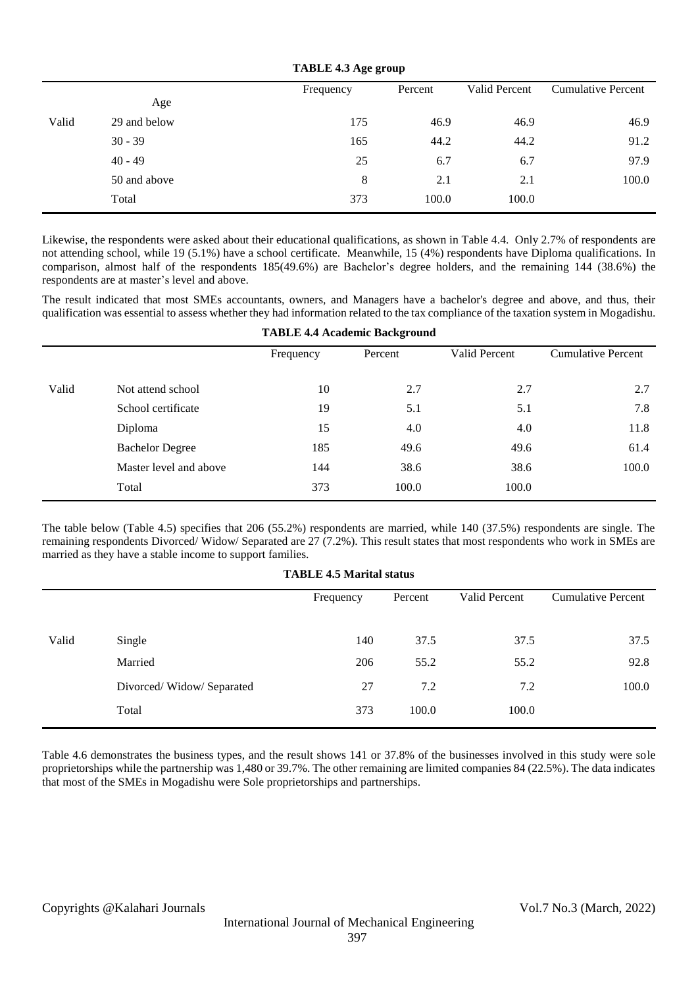| TABLE 4.3 Age group |  |  |  |  |
|---------------------|--|--|--|--|
|---------------------|--|--|--|--|

|       |              | Frequency | Percent | Valid Percent | <b>Cumulative Percent</b> |
|-------|--------------|-----------|---------|---------------|---------------------------|
|       | Age          |           |         |               |                           |
| Valid | 29 and below | 175       | 46.9    | 46.9          | 46.9                      |
|       | $30 - 39$    | 165       | 44.2    | 44.2          | 91.2                      |
|       | $40 - 49$    | 25        | 6.7     | 6.7           | 97.9                      |
|       | 50 and above | 8         | 2.1     | 2.1           | 100.0                     |
|       | Total        | 373       | 100.0   | 100.0         |                           |
|       |              |           |         |               |                           |

Likewise, the respondents were asked about their educational qualifications, as shown in Table 4.4. Only 2.7% of respondents are not attending school, while 19 (5.1%) have a school certificate. Meanwhile, 15 (4%) respondents have Diploma qualifications. In comparison, almost half of the respondents 185(49.6%) are Bachelor's degree holders, and the remaining 144 (38.6%) the respondents are at master's level and above.

The result indicated that most SMEs accountants, owners, and Managers have a bachelor's degree and above, and thus, their qualification was essential to assess whether they had information related to the tax compliance of the taxation system in Mogadishu.

|       |                        | <b>TABLE 4.4 Academic Background</b> |         |               |                           |  |  |  |
|-------|------------------------|--------------------------------------|---------|---------------|---------------------------|--|--|--|
|       |                        | Frequency                            | Percent | Valid Percent | <b>Cumulative Percent</b> |  |  |  |
| Valid | Not attend school      | 10                                   | 2.7     | 2.7           | 2.7                       |  |  |  |
|       | School certificate     | 19                                   | 5.1     | 5.1           | 7.8                       |  |  |  |
|       | Diploma                | 15                                   | 4.0     | 4.0           | 11.8                      |  |  |  |
|       | <b>Bachelor Degree</b> | 185                                  | 49.6    | 49.6          | 61.4                      |  |  |  |
|       | Master level and above | 144                                  | 38.6    | 38.6          | 100.0                     |  |  |  |
|       | Total                  | 373                                  | 100.0   | 100.0         |                           |  |  |  |

The table below (Table 4.5) specifies that 206 (55.2%) respondents are married, while 140 (37.5%) respondents are single. The remaining respondents Divorced/ Widow/ Separated are 27 (7.2%). This result states that most respondents who work in SMEs are married as they have a stable income to support families.

|       | <b>TABLE 4.5 Marital status</b> |           |         |               |                           |  |  |  |  |  |
|-------|---------------------------------|-----------|---------|---------------|---------------------------|--|--|--|--|--|
|       |                                 | Frequency | Percent | Valid Percent | <b>Cumulative Percent</b> |  |  |  |  |  |
|       |                                 |           |         |               |                           |  |  |  |  |  |
| Valid | Single                          | 140       | 37.5    | 37.5          | 37.5                      |  |  |  |  |  |
|       | Married                         | 206       | 55.2    | 55.2          | 92.8                      |  |  |  |  |  |
|       | Divorced/Widow/Separated        | 27        | 7.2     | 7.2           | 100.0                     |  |  |  |  |  |
|       | Total                           | 373       | 100.0   | 100.0         |                           |  |  |  |  |  |

Table 4.6 demonstrates the business types, and the result shows 141 or 37.8% of the businesses involved in this study were sole proprietorships while the partnership was 1,480 or 39.7%. The other remaining are limited companies 84 (22.5%). The data indicates that most of the SMEs in Mogadishu were Sole proprietorships and partnerships.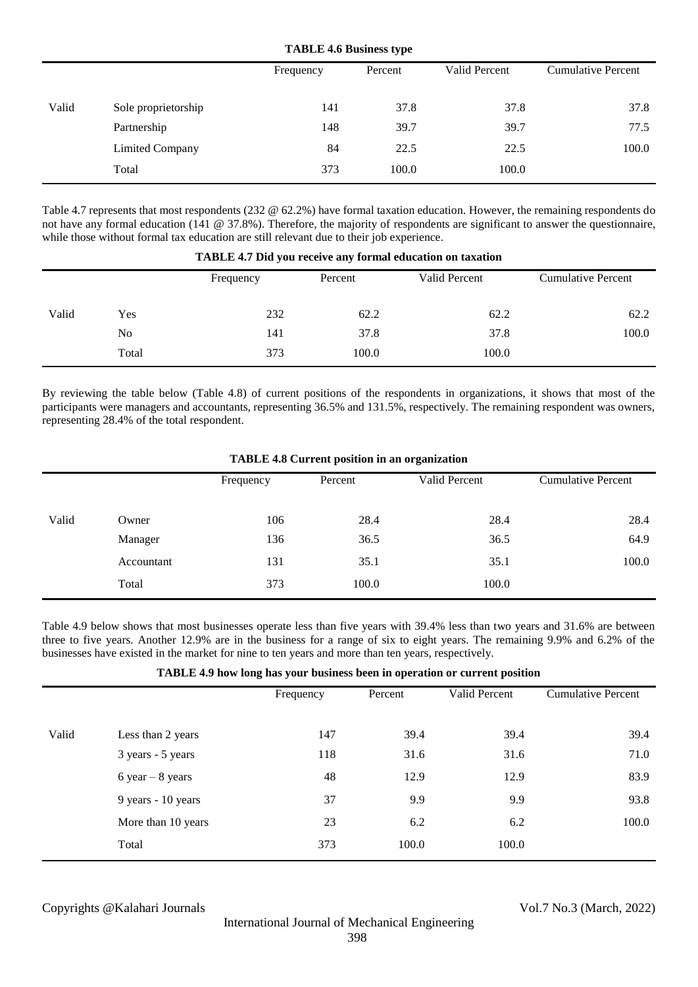### **TABLE 4.6 Business type**

|       |                        | Frequency | Percent | Valid Percent | <b>Cumulative Percent</b> |
|-------|------------------------|-----------|---------|---------------|---------------------------|
|       |                        |           |         |               |                           |
| Valid | Sole proprietorship    | 141       | 37.8    | 37.8          | 37.8                      |
|       | Partnership            | 148       | 39.7    | 39.7          | 77.5                      |
|       | <b>Limited Company</b> | 84        | 22.5    | 22.5          | 100.0                     |
|       | Total                  | 373       | 100.0   | 100.0         |                           |

Table 4.7 represents that most respondents (232 @ 62.2%) have formal taxation education. However, the remaining respondents do not have any formal education (141 @ 37.8%). Therefore, the majority of respondents are significant to answer the questionnaire, while those without formal tax education are still relevant due to their job experience.

|       |       | Frequency | Percent | <b>Valid Percent</b> | <b>Cumulative Percent</b> |
|-------|-------|-----------|---------|----------------------|---------------------------|
| Valid | Yes   | 232       | 62.2    | 62.2                 | 62.2                      |
|       | No    | 141       | 37.8    | 37.8                 | 100.0                     |
|       | Total | 373       | 100.0   | 100.0                |                           |

**TABLE 4.7 Did you receive any formal education on taxation**

By reviewing the table below (Table 4.8) of current positions of the respondents in organizations, it shows that most of the participants were managers and accountants, representing 36.5% and 131.5%, respectively. The remaining respondent was owners, representing 28.4% of the total respondent.

|       | TABLE 4.8 Current position in an organization |           |         |               |                           |  |  |  |  |
|-------|-----------------------------------------------|-----------|---------|---------------|---------------------------|--|--|--|--|
|       |                                               | Frequency | Percent | Valid Percent | <b>Cumulative Percent</b> |  |  |  |  |
| Valid | Owner                                         | 106       | 28.4    | 28.4          | 28.4                      |  |  |  |  |
|       | Manager                                       | 136       | 36.5    | 36.5          | 64.9                      |  |  |  |  |
|       | Accountant                                    | 131       | 35.1    | 35.1          | 100.0                     |  |  |  |  |
|       | Total                                         | 373       | 100.0   | 100.0         |                           |  |  |  |  |

## **TABLE 4.8 CURRENT POSITION IN AN ORIGINAL PROPERTY AND ADDRESS**

Table 4.9 below shows that most businesses operate less than five years with 39.4% less than two years and 31.6% are between three to five years. Another 12.9% are in the business for a range of six to eight years. The remaining 9.9% and 6.2% of the businesses have existed in the market for nine to ten years and more than ten years, respectively.

**TABLE 4.9 how long has your business been in operation or current position** 

|       |                    | Frequency | Percent | Valid Percent | <b>Cumulative Percent</b> |
|-------|--------------------|-----------|---------|---------------|---------------------------|
| Valid | Less than 2 years  | 147       | 39.4    | 39.4          | 39.4                      |
|       | 3 years - 5 years  | 118       | 31.6    | 31.6          | 71.0                      |
|       | 6 year $-$ 8 years | 48        | 12.9    | 12.9          | 83.9                      |
|       | 9 years - 10 years | 37        | 9.9     | 9.9           | 93.8                      |
|       | More than 10 years | 23        | 6.2     | 6.2           | 100.0                     |
|       | Total              | 373       | 100.0   | 100.0         |                           |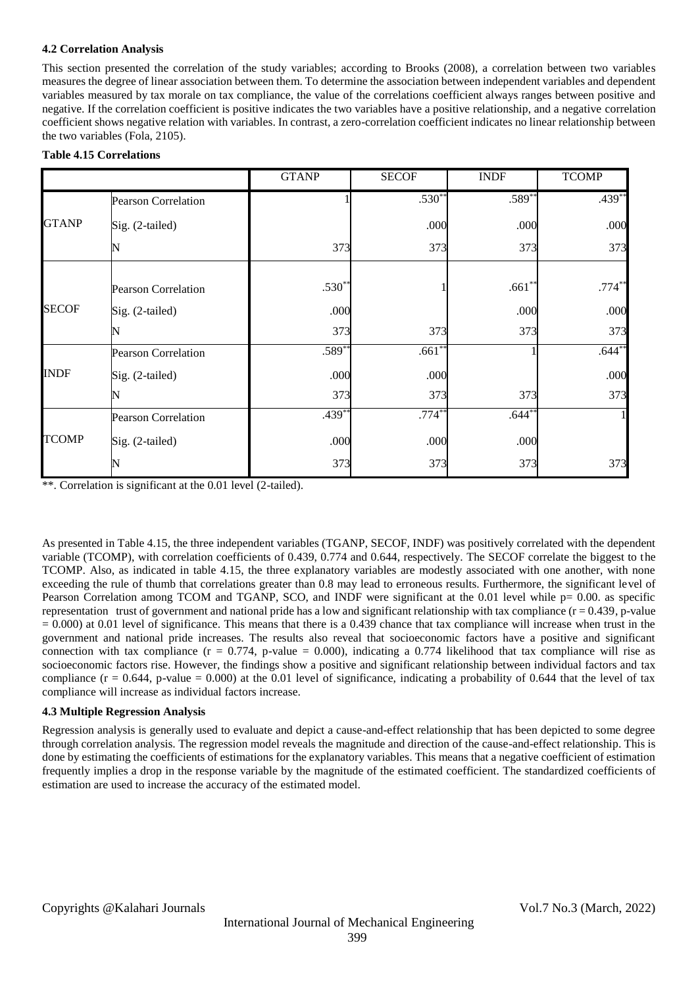### **4.2 Correlation Analysis**

This section presented the correlation of the study variables; according to Brooks (2008), a correlation between two variables measures the degree of linear association between them. To determine the association between independent variables and dependent variables measured by tax morale on tax compliance, the value of the correlations coefficient always ranges between positive and negative. If the correlation coefficient is positive indicates the two variables have a positive relationship, and a negative correlation coefficient shows negative relation with variables. In contrast, a zero-correlation coefficient indicates no linear relationship between the two variables (Fola, 2105).

### **Table 4.15 Correlations**

|              |                     | <b>GTANP</b> | <b>SECOF</b> | <b>INDF</b> | <b>TCOMP</b> |
|--------------|---------------------|--------------|--------------|-------------|--------------|
|              | Pearson Correlation |              | $.530**$     | $.589**$    | $.439**$     |
| <b>GTANP</b> | Sig. (2-tailed)     |              | .000         | .000        | .000         |
|              | N                   | 373          | 373          | 373         | 373          |
|              | Pearson Correlation | $.530**$     |              | $.661**$    | $.774**$     |
| <b>SECOF</b> | Sig. (2-tailed)     | .000         |              | .000        | .000         |
|              |                     | 373          | 373          | 373         | 373          |
|              | Pearson Correlation | $.589**$     | $.661**$     |             | $.644**$     |
| <b>INDF</b>  | Sig. (2-tailed)     | .000         | .000         |             | .000         |
|              |                     | 373          | 373          | 373         | 373          |
|              | Pearson Correlation | $.439**$     | $.774**$     | $.644*$     |              |
| <b>TCOMP</b> | Sig. (2-tailed)     | .000         | .000         | .000        |              |
|              |                     | 373          | 373          | 373         | 373          |

\*\*. Correlation is significant at the 0.01 level (2-tailed).

As presented in Table 4.15, the three independent variables (TGANP, SECOF, INDF) was positively correlated with the dependent variable (TCOMP), with correlation coefficients of 0.439, 0.774 and 0.644, respectively. The SECOF correlate the biggest to the TCOMP. Also, as indicated in table 4.15, the three explanatory variables are modestly associated with one another, with none exceeding the rule of thumb that correlations greater than 0.8 may lead to erroneous results. Furthermore, the significant level of Pearson Correlation among TCOM and TGANP, SCO, and INDF were significant at the 0.01 level while  $p= 0.00$ . as specific representation trust of government and national pride has a low and significant relationship with tax compliance  $(r = 0.439, p-value$  $= 0.000$ ) at 0.01 level of significance. This means that there is a 0.439 chance that tax compliance will increase when trust in the government and national pride increases. The results also reveal that socioeconomic factors have a positive and significant connection with tax compliance  $(r = 0.774, p-value = 0.000)$ , indicating a 0.774 likelihood that tax compliance will rise as socioeconomic factors rise. However, the findings show a positive and significant relationship between individual factors and tax compliance ( $r = 0.644$ , p-value = 0.000) at the 0.01 level of significance, indicating a probability of 0.644 that the level of tax compliance will increase as individual factors increase.

### **4.3 Multiple Regression Analysis**

Regression analysis is generally used to evaluate and depict a cause-and-effect relationship that has been depicted to some degree through correlation analysis. The regression model reveals the magnitude and direction of the cause-and-effect relationship. This is done by estimating the coefficients of estimations for the explanatory variables. This means that a negative coefficient of estimation frequently implies a drop in the response variable by the magnitude of the estimated coefficient. The standardized coefficients of estimation are used to increase the accuracy of the estimated model.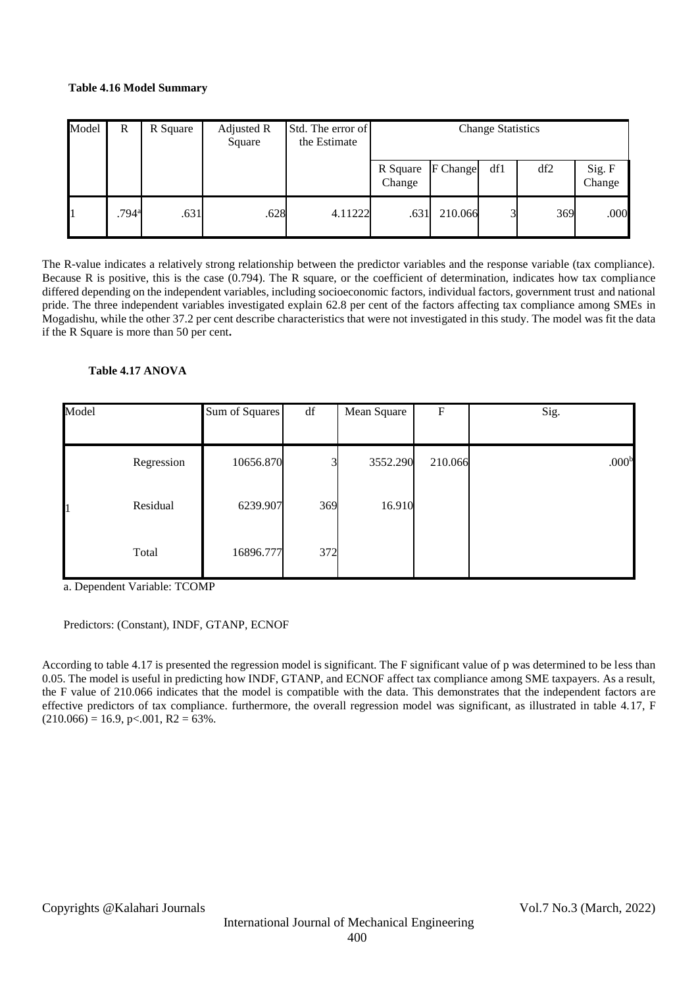### **Table 4.16 Model Summary**

| Model | R                 | R Square | Adjusted R<br>Square | Std. The error of<br>the Estimate |                    |          | <b>Change Statistics</b> |     |                  |
|-------|-------------------|----------|----------------------|-----------------------------------|--------------------|----------|--------------------------|-----|------------------|
|       |                   |          |                      |                                   | R Square<br>Change | F Change | df1                      | df2 | Sig. F<br>Change |
|       | .794 <sup>a</sup> | .631     | .628                 | 4.11222                           | .631               | 210.066  | $\overline{\mathbf{z}}$  | 369 | .000             |

The R-value indicates a relatively strong relationship between the predictor variables and the response variable (tax compliance). Because R is positive, this is the case (0.794). The R square, or the coefficient of determination, indicates how tax compliance differed depending on the independent variables, including socioeconomic factors, individual factors, government trust and national pride. The three independent variables investigated explain 62.8 per cent of the factors affecting tax compliance among SMEs in Mogadishu, while the other 37.2 per cent describe characteristics that were not investigated in this study. The model was fit the data if the R Square is more than 50 per cent**.**

### **Table 4.17 ANOVA**

| Model |            | Sum of Squares | df  | Mean Square | $\boldsymbol{\mathrm{F}}$ | Sig.              |
|-------|------------|----------------|-----|-------------|---------------------------|-------------------|
|       | Regression | 10656.870      | 3   | 3552.290    | 210.066                   | .000 <sup>b</sup> |
|       | Residual   | 6239.907       | 369 | 16.910      |                           |                   |
|       | Total      | 16896.777      | 372 |             |                           |                   |

a. Dependent Variable: TCOMP

### Predictors: (Constant), INDF, GTANP, ECNOF

According to table 4.17 is presented the regression model is significant. The F significant value of p was determined to be less than 0.05. The model is useful in predicting how INDF, GTANP, and ECNOF affect tax compliance among SME taxpayers. As a result, the F value of 210.066 indicates that the model is compatible with the data. This demonstrates that the independent factors are effective predictors of tax compliance. furthermore, the overall regression model was significant, as illustrated in table 4.17, F  $(210.066) = 16.9$ , p<.001, R2 = 63%.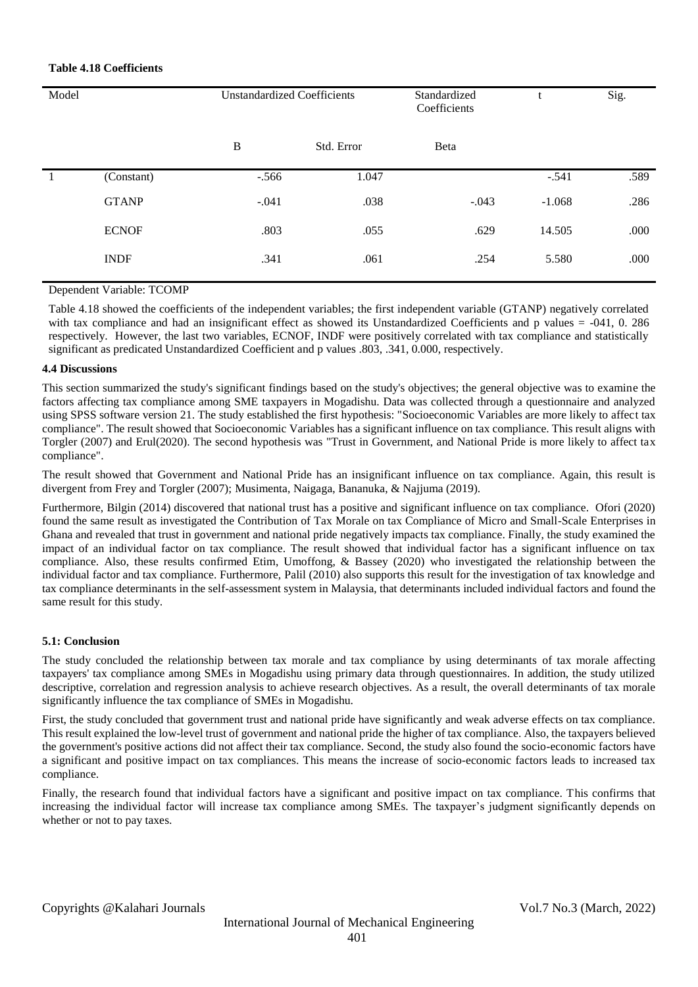### **Table 4.18 Coefficients**

| Model |              | <b>Unstandardized Coefficients</b> |            | Standardized<br>Coefficients | ι        | Sig. |
|-------|--------------|------------------------------------|------------|------------------------------|----------|------|
|       |              | $\, {\bf B}$                       | Std. Error | Beta                         |          |      |
|       | (Constant)   | $-.566$                            | 1.047      |                              | $-.541$  | .589 |
|       | <b>GTANP</b> | $-.041$                            | .038       | $-.043$                      | $-1.068$ | .286 |
|       | <b>ECNOF</b> | .803                               | .055       | .629                         | 14.505   | .000 |
|       | <b>INDF</b>  | .341                               | .061       | .254                         | 5.580    | .000 |

Dependent Variable: TCOMP

Table 4.18 showed the coefficients of the independent variables; the first independent variable (GTANP) negatively correlated with tax compliance and had an insignificant effect as showed its Unstandardized Coefficients and p values = -041, 0, 286 respectively. However, the last two variables, ECNOF, INDF were positively correlated with tax compliance and statistically significant as predicated Unstandardized Coefficient and p values .803, .341, 0.000, respectively.

### **4.4 Discussions**

This section summarized the study's significant findings based on the study's objectives; the general objective was to examine the factors affecting tax compliance among SME taxpayers in Mogadishu. Data was collected through a questionnaire and analyzed using SPSS software version 21. The study established the first hypothesis: "Socioeconomic Variables are more likely to affect tax compliance". The result showed that Socioeconomic Variables has a significant influence on tax compliance. This result aligns with Torgler (2007) and Erul(2020). The second hypothesis was "Trust in Government, and National Pride is more likely to affect tax compliance".

The result showed that Government and National Pride has an insignificant influence on tax compliance. Again, this result is divergent from Frey and Torgler (2007); Musimenta, Naigaga, Bananuka, & Najjuma (2019).

Furthermore, Bilgin (2014) discovered that national trust has a positive and significant influence on tax compliance. Ofori (2020) found the same result as investigated the Contribution of Tax Morale on tax Compliance of Micro and Small-Scale Enterprises in Ghana and revealed that trust in government and national pride negatively impacts tax compliance. Finally, the study examined the impact of an individual factor on tax compliance. The result showed that individual factor has a significant influence on tax compliance. Also, these results confirmed Etim, Umoffong, & Bassey (2020) who investigated the relationship between the individual factor and tax compliance. Furthermore, Palil (2010) also supports this result for the investigation of tax knowledge and tax compliance determinants in the self-assessment system in Malaysia, that determinants included individual factors and found the same result for this study.

### **5.1: Conclusion**

The study concluded the relationship between tax morale and tax compliance by using determinants of tax morale affecting taxpayers' tax compliance among SMEs in Mogadishu using primary data through questionnaires. In addition, the study utilized descriptive, correlation and regression analysis to achieve research objectives. As a result, the overall determinants of tax morale significantly influence the tax compliance of SMEs in Mogadishu.

First, the study concluded that government trust and national pride have significantly and weak adverse effects on tax compliance. This result explained the low-level trust of government and national pride the higher of tax compliance. Also, the taxpayers believed the government's positive actions did not affect their tax compliance. Second, the study also found the socio-economic factors have a significant and positive impact on tax compliances. This means the increase of socio-economic factors leads to increased tax compliance.

Finally, the research found that individual factors have a significant and positive impact on tax compliance. This confirms that increasing the individual factor will increase tax compliance among SMEs. The taxpayer's judgment significantly depends on whether or not to pay taxes.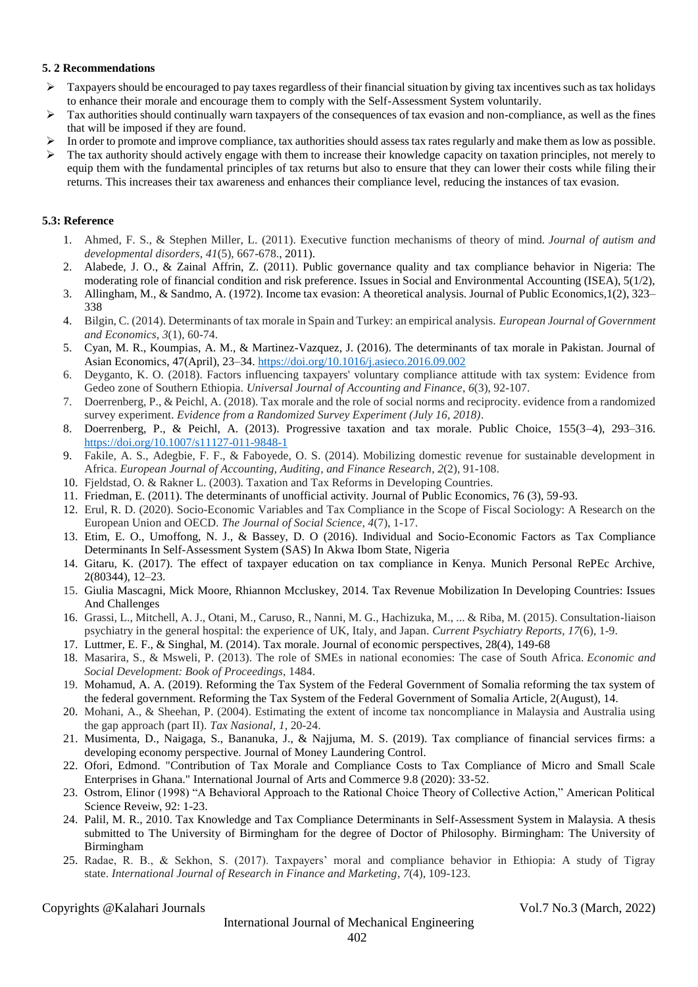### **5. 2 Recommendations**

- $\triangleright$  Taxpayers should be encouraged to pay taxes regardless of their financial situation by giving tax incentives such as tax holidays to enhance their morale and encourage them to comply with the Self-Assessment System voluntarily.
- $\triangleright$  Tax authorities should continually warn taxpayers of the consequences of tax evasion and non-compliance, as well as the fines that will be imposed if they are found.
- $\triangleright$  In order to promote and improve compliance, tax authorities should assess tax rates regularly and make them as low as possible.
- $\triangleright$  The tax authority should actively engage with them to increase their knowledge capacity on taxation principles, not merely to equip them with the fundamental principles of tax returns but also to ensure that they can lower their costs while filing their returns. This increases their tax awareness and enhances their compliance level, reducing the instances of tax evasion.

### **5.3: Reference**

- 1. Ahmed, F. S., & Stephen Miller, L. (2011). Executive function mechanisms of theory of mind. *Journal of autism and developmental disorders*, *41*(5), 667-678., 2011).
- 2. Alabede, J. O., & Zainal Affrin, Z. (2011). Public governance quality and tax compliance behavior in Nigeria: The moderating role of financial condition and risk preference. Issues in Social and Environmental Accounting (ISEA), 5(1/2),
- 3. Allingham, M., & Sandmo, A. (1972). Income tax evasion: A theoretical analysis. Journal of Public Economics,1(2), 323– 338
- 4. Bilgin, C. (2014). Determinants of tax morale in Spain and Turkey: an empirical analysis. *European Journal of Government and Economics*, *3*(1), 60-74.
- 5. Cyan, M. R., Koumpias, A. M., & Martinez-Vazquez, J. (2016). The determinants of tax morale in Pakistan. Journal of Asian Economics, 47(April), 23–34.<https://doi.org/10.1016/j.asieco.2016.09.002>
- 6. Deyganto, K. O. (2018). Factors influencing taxpayers' voluntary compliance attitude with tax system: Evidence from Gedeo zone of Southern Ethiopia. *Universal Journal of Accounting and Finance*, *6*(3), 92-107.
- 7. Doerrenberg, P., & Peichl, A. (2018). Tax morale and the role of social norms and reciprocity. evidence from a randomized survey experiment. *Evidence from a Randomized Survey Experiment (July 16, 2018)*.
- 8. Doerrenberg, P., & Peichl, A. (2013). Progressive taxation and tax morale. Public Choice, 155(3–4), 293–316. <https://doi.org/10.1007/s11127-011-9848-1>
- 9. Fakile, A. S., Adegbie, F. F., & Faboyede, O. S. (2014). Mobilizing domestic revenue for sustainable development in Africa. *European Journal of Accounting, Auditing, and Finance Research*, *2*(2), 91-108.
- 10. Fjeldstad, O. & Rakner L. (2003). Taxation and Tax Reforms in Developing Countries.
- 11. Friedman, E. (2011). The determinants of unofficial activity. Journal of Public Economics, 76 (3), 59-93.
- 12. Erul, R. D. (2020). Socio-Economic Variables and Tax Compliance in the Scope of Fiscal Sociology: A Research on the European Union and OECD. *The Journal of Social Science*, *4*(7), 1-17.
- 13. Etim, E. O., Umoffong, N. J., & Bassey, D. O (2016). Individual and Socio-Economic Factors as Tax Compliance Determinants In Self-Assessment System (SAS) In Akwa Ibom State, Nigeria
- 14. Gitaru, K. (2017). The effect of taxpayer education on tax compliance in Kenya. Munich Personal RePEc Archive, 2(80344), 12–23.
- 15. Giulia Mascagni, Mick Moore, Rhiannon Mccluskey, 2014. Tax Revenue Mobilization In Developing Countries: Issues And Challenges
- 16. Grassi, L., Mitchell, A. J., Otani, M., Caruso, R., Nanni, M. G., Hachizuka, M., ... & Riba, M. (2015). Consultation-liaison psychiatry in the general hospital: the experience of UK, Italy, and Japan. *Current Psychiatry Reports*, *17*(6), 1-9.
- 17. Luttmer, E. F., & Singhal, M. (2014). Tax morale. Journal of economic perspectives, 28(4), 149-68
- 18. Masarira, S., & Msweli, P. (2013). The role of SMEs in national economies: The case of South Africa. *Economic and Social Development: Book of Proceedings*, 1484.
- 19. Mohamud, A. A. (2019). Reforming the Tax System of the Federal Government of Somalia reforming the tax system of the federal government. Reforming the Tax System of the Federal Government of Somalia Article, 2(August), 14.
- 20. Mohani, A., & Sheehan, P. (2004). Estimating the extent of income tax noncompliance in Malaysia and Australia using the gap approach (part II). *Tax Nasional*, *1*, 20-24.
- 21. Musimenta, D., Naigaga, S., Bananuka, J., & Najjuma, M. S. (2019). Tax compliance of financial services firms: a developing economy perspective. Journal of Money Laundering Control.
- 22. Ofori, Edmond. "Contribution of Tax Morale and Compliance Costs to Tax Compliance of Micro and Small Scale Enterprises in Ghana." International Journal of Arts and Commerce 9.8 (2020): 33-52.
- 23. Ostrom, Elinor (1998) "A Behavioral Approach to the Rational Choice Theory of Collective Action," American Political Science Reveiw, 92: 1-23.
- 24. Palil, M. R., 2010. Tax Knowledge and Tax Compliance Determinants in Self-Assessment System in Malaysia. A thesis submitted to The University of Birmingham for the degree of Doctor of Philosophy. Birmingham: The University of Birmingham
- 25. Radae, R. B., & Sekhon, S. (2017). Taxpayers' moral and compliance behavior in Ethiopia: A study of Tigray state. *International Journal of Research in Finance and Marketing*, *7*(4), 109-123.